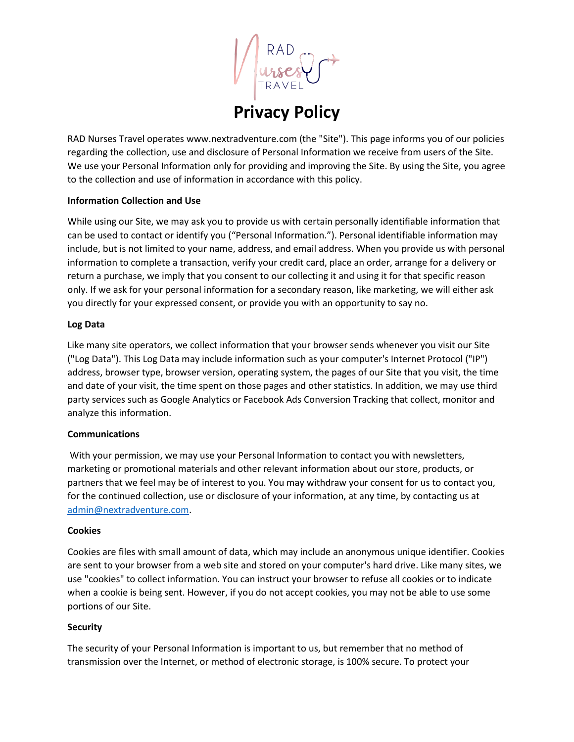**Privacy Policy**

RAD Nurses Travel operates www.nextradventure.com (the "Site"). This page informs you of our policies regarding the collection, use and disclosure of Personal Information we receive from users of the Site. We use your Personal Information only for providing and improving the Site. By using the Site, you agree to the collection and use of information in accordance with this policy.

### **Information Collection and Use**

While using our Site, we may ask you to provide us with certain personally identifiable information that can be used to contact or identify you ("Personal Information."). Personal identifiable information may include, but is not limited to your name, address, and email address. When you provide us with personal information to complete a transaction, verify your credit card, place an order, arrange for a delivery or return a purchase, we imply that you consent to our collecting it and using it for that specific reason only. If we ask for your personal information for a secondary reason, like marketing, we will either ask you directly for your expressed consent, or provide you with an opportunity to say no.

### **Log Data**

Like many site operators, we collect information that your browser sends whenever you visit our Site ("Log Data"). This Log Data may include information such as your computer's Internet Protocol ("IP") address, browser type, browser version, operating system, the pages of our Site that you visit, the time and date of your visit, the time spent on those pages and other statistics. In addition, we may use third party services such as Google Analytics or Facebook Ads Conversion Tracking that collect, monitor and analyze this information.

### **Communications**

With your permission, we may use your Personal Information to contact you with newsletters, marketing or promotional materials and other relevant information about our store, products, or partners that we feel may be of interest to you. You may withdraw your consent for us to contact you, for the continued collection, use or disclosure of your information, at any time, by contacting us at [admin@nextradventure.com.](mailto:admin@nextradventure.com)

### **Cookies**

Cookies are files with small amount of data, which may include an anonymous unique identifier. Cookies are sent to your browser from a web site and stored on your computer's hard drive. Like many sites, we use "cookies" to collect information. You can instruct your browser to refuse all cookies or to indicate when a cookie is being sent. However, if you do not accept cookies, you may not be able to use some portions of our Site.

### **Security**

The security of your Personal Information is important to us, but remember that no method of transmission over the Internet, or method of electronic storage, is 100% secure. To protect your